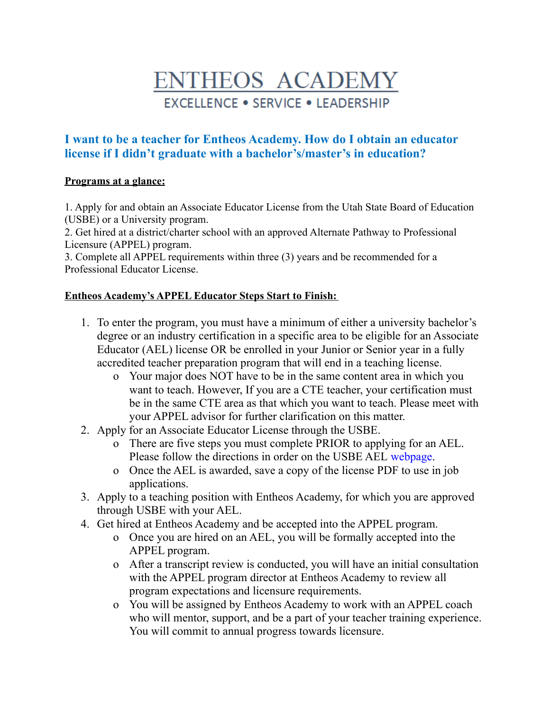# **ENTHEOS ACADEMY EXCELLENCE . SERVICE . LEADERSHIP**

## **I want to be a teacher for Entheos Academy. How do I obtain an educator license if I didn't graduate with a bachelor's/master's in education?**

#### **Programs at a glance:**

1. Apply for and obtain an Associate Educator License from the Utah State Board of Education (USBE) or a University program.

2. Get hired at a district/charter school with an approved Alternate Pathway to Professional Licensure (APPEL) program.

3. Complete all APPEL requirements within three (3) years and be recommended for a Professional Educator License.

#### **Entheos Academy's APPEL Educator Steps Start to Finish:**

- 1. To enter the program, you must have a minimum of either a university bachelor's degree or an industry certification in a specific area to be eligible for an Associate Educator (AEL) license OR be enrolled in your Junior or Senior year in a fully accredited teacher preparation program that will end in a teaching license.
	- o Your major does NOT have to be in the same content area in which you want to teach. However, If you are a CTE teacher, your certification must be in the same CTE area as that which you want to teach. Please meet with your APPEL advisor for further clarification on this matter.
- 2. Apply for an Associate Educator License through the USBE.
	- o There are five steps you must complete PRIOR to applying for an AEL. Please follow the directions in order on the USBE AEL [webpage](https://www.schools.utah.gov/licensing/apply?mid=5257&tid=1).
	- o Once the AEL is awarded, save a copy of the license PDF to use in job applications.
- 3. Apply to a teaching position with Entheos Academy, for which you are approved through USBE with your AEL.
- 4. Get hired at Entheos Academy and be accepted into the APPEL program.
	- o Once you are hired on an AEL, you will be formally accepted into the APPEL program.
	- o After a transcript review is conducted, you will have an initial consultation with the APPEL program director at Entheos Academy to review all program expectations and licensure requirements.
	- o You will be assigned by Entheos Academy to work with an APPEL coach who will mentor, support, and be a part of your teacher training experience. You will commit to annual progress towards licensure.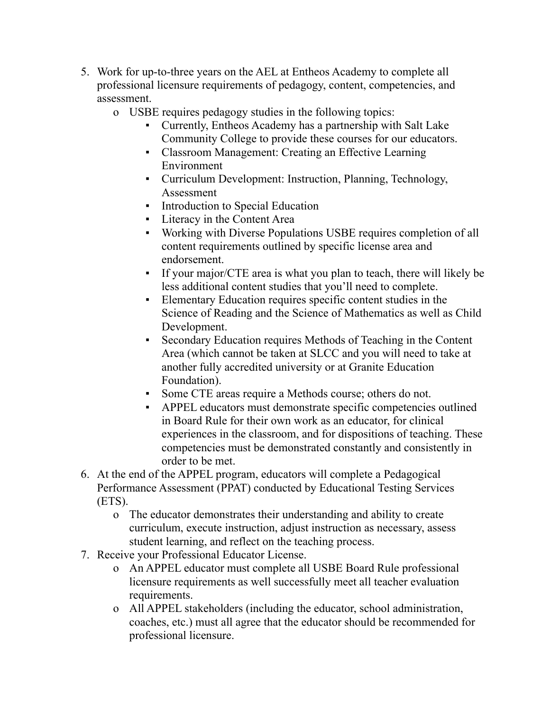- 5. Work for up-to-three years on the AEL at Entheos Academy to complete all professional licensure requirements of pedagogy, content, competencies, and assessment.
	- o USBE requires pedagogy studies in the following topics:
		- Currently, Entheos Academy has a partnership with Salt Lake Community College to provide these courses for our educators.
		- Classroom Management: Creating an Effective Learning Environment
		- Curriculum Development: Instruction, Planning, Technology, Assessment
		- Introduction to Special Education
		- Literacy in the Content Area
		- Working with Diverse Populations USBE requires completion of all content requirements outlined by specific license area and endorsement.
		- If your major/CTE area is what you plan to teach, there will likely be less additional content studies that you'll need to complete.
		- Elementary Education requires specific content studies in the Science of Reading and the Science of Mathematics as well as Child Development.
		- Secondary Education requires Methods of Teaching in the Content Area (which cannot be taken at SLCC and you will need to take at another fully accredited university or at Granite Education Foundation).
		- Some CTE areas require a Methods course; others do not.
		- APPEL educators must demonstrate specific competencies outlined in Board Rule for their own work as an educator, for clinical experiences in the classroom, and for dispositions of teaching. These competencies must be demonstrated constantly and consistently in order to be met.
- 6. At the end of the APPEL program, educators will complete a Pedagogical Performance Assessment (PPAT) conducted by Educational Testing Services (ETS).
	- o The educator demonstrates their understanding and ability to create curriculum, execute instruction, adjust instruction as necessary, assess student learning, and reflect on the teaching process.
- 7. Receive your Professional Educator License.
	- o An APPEL educator must complete all USBE Board Rule professional licensure requirements as well successfully meet all teacher evaluation requirements.
	- o All APPEL stakeholders (including the educator, school administration, coaches, etc.) must all agree that the educator should be recommended for professional licensure.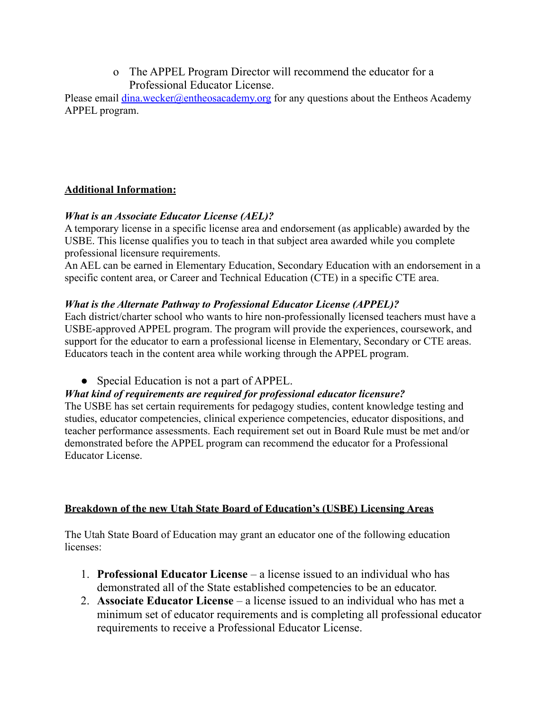o The APPEL Program Director will recommend the educator for a Professional Educator License.

Please email  $\frac{\text{dina.wecker}(\partial \text{entheosacademy.org}}{\text{for any questions about the Entheos Academy}}$ APPEL program.

#### **Additional Information:**

### *What is an Associate Educator License (AEL)?*

A temporary license in a specific license area and endorsement (as applicable) awarded by the USBE. This license qualifies you to teach in that subject area awarded while you complete professional licensure requirements.

An AEL can be earned in Elementary Education, Secondary Education with an endorsement in a specific content area, or Career and Technical Education (CTE) in a specific CTE area.

## *What is the Alternate Pathway to Professional Educator License (APPEL)?*

Each district/charter school who wants to hire non-professionally licensed teachers must have a USBE-approved APPEL program. The program will provide the experiences, coursework, and support for the educator to earn a professional license in Elementary, Secondary or CTE areas. Educators teach in the content area while working through the APPEL program.

• Special Education is not a part of APPEL.

## *What kind of requirements are required for professional educator licensure?*

The USBE has set certain requirements for pedagogy studies, content knowledge testing and studies, educator competencies, clinical experience competencies, educator dispositions, and teacher performance assessments. Each requirement set out in Board Rule must be met and/or demonstrated before the APPEL program can recommend the educator for a Professional Educator License.

## **Breakdown of the new Utah State Board of Education's (USBE) Licensing Areas**

The Utah State Board of Education may grant an educator one of the following education licenses:

- 1. **Professional Educator License** a license issued to an individual who has demonstrated all of the State established competencies to be an educator.
- 2. **Associate Educator License** a license issued to an individual who has met a minimum set of educator requirements and is completing all professional educator requirements to receive a Professional Educator License.